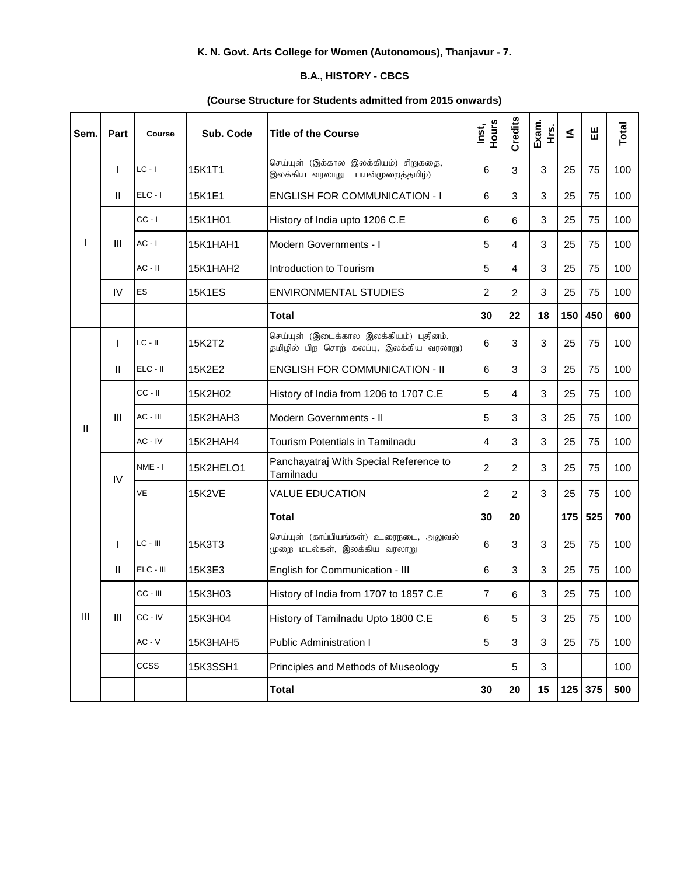## **K. N. Govt. Arts College for Women (Autonomous), Thanjavur - 7.**

## **B.A., HISTORY - CBCS**

## **(Course Structure for Students admitted from 2015 onwards)**

| Sem. | Part           | Course      | Sub. Code     | <b>Title of the Course</b>                                                         | Hours<br>Inst, | Credits        | Exam.<br>ι<br>Ε           | ₹   | Ш         | Total |
|------|----------------|-------------|---------------|------------------------------------------------------------------------------------|----------------|----------------|---------------------------|-----|-----------|-------|
|      |                | $LC - I$    | 15K1T1        | செய்யுள் (இக்கால இலக்கியம்) சிறுகதை,<br>இலக்கிய வரலாறு<br>பயன்முறைத்தமிழ்)         | 6              | 3              | 3                         | 25  | 75        | 100   |
|      | $\mathbf{H}$   | $ELC - I$   | 15K1E1        | <b>ENGLISH FOR COMMUNICATION - I</b>                                               | 6              | 3              | 3                         | 25  | 75        | 100   |
|      | $\mathbf{III}$ | $CC - I$    | 15K1H01       | History of India upto 1206 C.E                                                     | 6              | 6              | 3                         | 25  | 75        | 100   |
|      |                | $AC - I$    | 15K1HAH1      | Modern Governments - I                                                             | 5              | 4              | 3                         | 25  | 75        | 100   |
|      |                | $AC - II$   | 15K1HAH2      | Introduction to Tourism                                                            | 5              | 4              | 3                         | 25  | 75        | 100   |
|      | IV             | <b>ES</b>   | <b>15K1ES</b> | <b>ENVIRONMENTAL STUDIES</b>                                                       | $\overline{2}$ | $\overline{c}$ | 3                         | 25  | 75        | 100   |
|      |                |             |               | <b>Total</b>                                                                       | 30             | 22             | 18                        | 150 | 450       | 600   |
|      | $\mathbf{I}$   | $LC - II$   | 15K2T2        | செய்யுள் (இடைக்கால இலக்கியம்) புதினம்,<br>தமிழில் பிற சொற் கலப்பு, இலக்கிய வரலாறு) | 6              | 3              | 3                         | 25  | 75        | 100   |
|      | $\mathbf{H}$   | ELC - II    | 15K2E2        | <b>ENGLISH FOR COMMUNICATION - II</b>                                              | 6              | 3              | 3                         | 25  | 75        | 100   |
|      | Ш              | $CC - II$   | 15K2H02       | History of India from 1206 to 1707 C.E                                             | 5              | 4              | 3                         | 25  | 75        | 100   |
|      |                | AC - III    | 15K2HAH3      | Modern Governments - II                                                            | 5              | 3              | 3                         | 25  | 75        | 100   |
| Ш    |                | AC - IV     | 15K2HAH4      | <b>Tourism Potentials in Tamilnadu</b>                                             | 4              | 3              | 3                         | 25  | 75        | 100   |
|      | IV             | NME - I     | 15K2HELO1     | Panchayatraj With Special Reference to<br>Tamilnadu                                | $\overline{2}$ | $\overline{2}$ | 3                         | 25  | 75        | 100   |
|      |                | VE          | <b>15K2VE</b> | <b>VALUE EDUCATION</b>                                                             | $\overline{2}$ | $\overline{2}$ | 3                         | 25  | 75        | 100   |
|      |                |             |               | <b>Total</b>                                                                       | 30             | 20             |                           | 175 | 525       | 700   |
|      | $\mathbf{I}$   | $LC - III$  | 15K3T3        | செய்யுள் (காப்பியங்கள்) உரைநடை, அலுவல்<br>முறை மடல்கள், இலக்கிய வரலாறு             | 6              | 3              | 3                         | 25  | 75        | 100   |
|      | $\mathbf{H}$   | ELC - III   | 15K3E3        | English for Communication - III                                                    | 6              | 3              | 3                         | 25  | 75        | 100   |
|      | Ш              | CC - III    | 15K3H03       | History of India from 1707 to 1857 C.E                                             | 7              | 6              | $\ensuremath{\mathsf{3}}$ | 25  | 75        | 100   |
| Ш    |                | CC - IV     | 15K3H04       | History of Tamilnadu Upto 1800 C.E                                                 | 6              | 5              | $\ensuremath{\mathsf{3}}$ | 25  | 75        | 100   |
|      |                | $AC - V$    | 15K3HAH5      | <b>Public Administration I</b>                                                     | 5              | 3              | $\mathbf{3}$              | 25  | 75        | 100   |
|      |                | <b>CCSS</b> | 15K3SSH1      | Principles and Methods of Museology                                                |                | 5              | 3                         |     |           | 100   |
|      |                |             |               | <b>Total</b>                                                                       | 30             | 20             | 15                        |     | $125$ 375 | 500   |